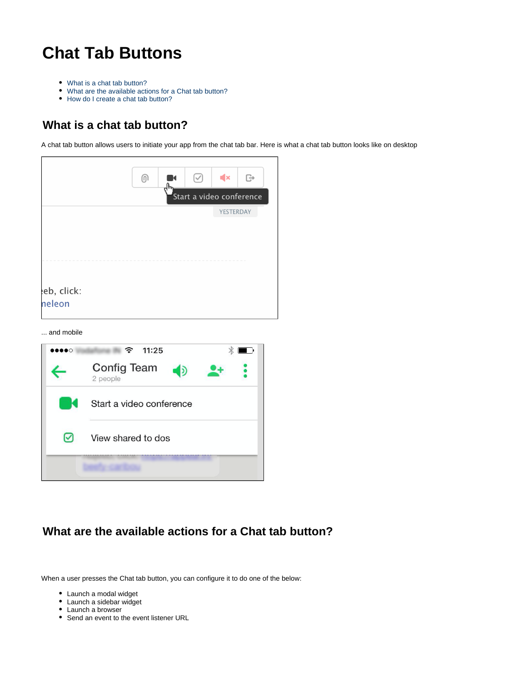## **Chat Tab Buttons**

- [What is a chat tab button?](#page-0-0)
- [What are the available actions for a Chat tab button?](#page-0-1)
- [How do I create a chat tab button?](#page-1-0)

## <span id="page-0-0"></span>**What is a chat tab button?**

A chat tab button allows users to initiate your app from the chat tab bar. Here is what a chat tab button looks like on desktop

|            |                          | டு | K<br>ᡕᠰ | $(\vee)$ | $\blacktriangleleft$ x | ⊕ |
|------------|--------------------------|----|---------|----------|------------------------|---|
|            | Start a video conference |    |         |          |                        |   |
|            |                          |    |         |          | YESTERDAY              |   |
|            |                          |    |         |          |                        |   |
|            |                          |    |         |          |                        |   |
|            |                          |    |         |          |                        |   |
|            |                          |    |         |          |                        |   |
| eb, click: |                          |    |         |          |                        |   |
| neleon     |                          |    |         |          |                        |   |

... and mobile



## <span id="page-0-1"></span>**What are the available actions for a Chat tab button?**

When a user presses the Chat tab button, you can configure it to do one of the below:

- Launch a modal widget
- Launch a sidebar widget
- Launch a browser
- Send an event to the event listener URL